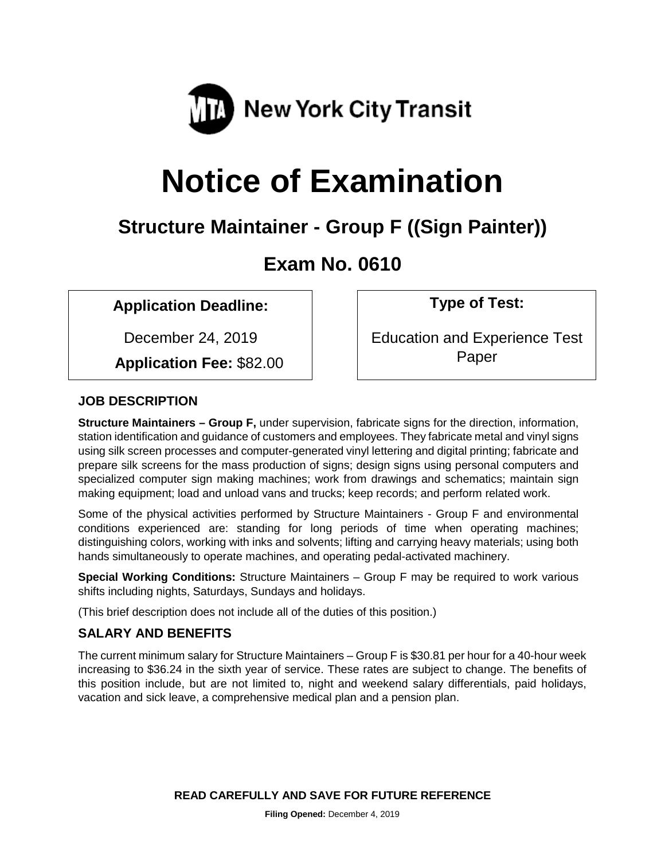

# **Notice of Examination**

# **Structure Maintainer - Group F ((Sign Painter))**

# **Exam No. 0610**

# **Application Deadline: Type of Test:**

December 24, 2019

 **Application Fee:** \$82.00

Education and Experience Test Paper

# **JOB DESCRIPTION**

**Structure Maintainers – Group F,** under supervision, fabricate signs for the direction, information, station identification and guidance of customers and employees. They fabricate metal and vinyl signs using silk screen processes and computer-generated vinyl lettering and digital printing; fabricate and prepare silk screens for the mass production of signs; design signs using personal computers and specialized computer sign making machines; work from drawings and schematics; maintain sign making equipment; load and unload vans and trucks; keep records; and perform related work.

Some of the physical activities performed by Structure Maintainers - Group F and environmental conditions experienced are: standing for long periods of time when operating machines; distinguishing colors, working with inks and solvents; lifting and carrying heavy materials; using both hands simultaneously to operate machines, and operating pedal-activated machinery.

**Special Working Conditions:** Structure Maintainers – Group F may be required to work various shifts including nights, Saturdays, Sundays and holidays.

(This brief description does not include all of the duties of this position.)

# **SALARY AND BENEFITS**

The current minimum salary for Structure Maintainers – Group F is \$30.81 per hour for a 40-hour week increasing to \$36.24 in the sixth year of service. These rates are subject to change. The benefits of this position include, but are not limited to, night and weekend salary differentials, paid holidays, vacation and sick leave, a comprehensive medical plan and a pension plan.

**READ CAREFULLY AND SAVE FOR FUTURE REFERENCE**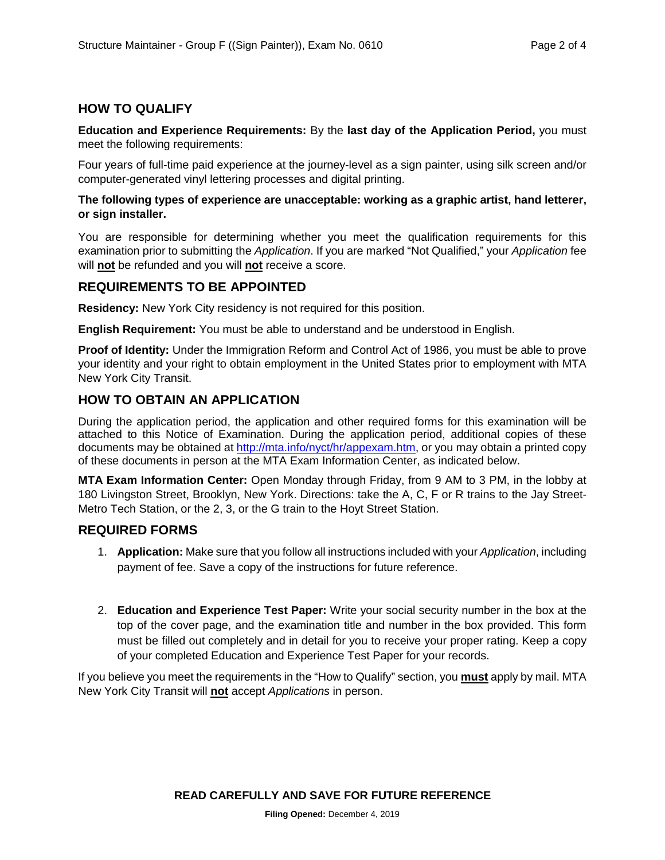## **HOW TO QUALIFY**

**Education and Experience Requirements:** By the **last day of the Application Period,** you must meet the following requirements:

Four years of full-time paid experience at the journey-level as a sign painter, using silk screen and/or computer-generated vinyl lettering processes and digital printing.

#### **The following types of experience are unacceptable: working as a graphic artist, hand letterer, or sign installer.**

You are responsible for determining whether you meet the qualification requirements for this examination prior to submitting the *Application*. If you are marked "Not Qualified," your *Application* fee will **not** be refunded and you will **not** receive a score.

#### **REQUIREMENTS TO BE APPOINTED**

**Residency:** New York City residency is not required for this position.

**English Requirement:** You must be able to understand and be understood in English.

**Proof of Identity:** Under the Immigration Reform and Control Act of 1986, you must be able to prove your identity and your right to obtain employment in the United States prior to employment with MTA New York City Transit.

## **HOW TO OBTAIN AN APPLICATION**

During the application period, the application and other required forms for this examination will be attached to this Notice of Examination. During the application period, additional copies of these documents may be obtained at [http://mta.info/nyct/hr/appexam.htm,](http://mta.info/nyct/hr/appexam.htm) or you may obtain a printed copy of these documents in person at the MTA Exam Information Center, as indicated below.

**MTA Exam Information Center:** Open Monday through Friday, from 9 AM to 3 PM, in the lobby at 180 Livingston Street, Brooklyn, New York. Directions: take the A, C, F or R trains to the Jay Street-Metro Tech Station, or the 2, 3, or the G train to the Hoyt Street Station.

#### **REQUIRED FORMS**

- 1. **Application:** Make sure that you follow all instructions included with your *Application*, including payment of fee. Save a copy of the instructions for future reference.
- 2. **Education and Experience Test Paper:** Write your social security number in the box at the top of the cover page, and the examination title and number in the box provided. This form must be filled out completely and in detail for you to receive your proper rating. Keep a copy of your completed Education and Experience Test Paper for your records.

If you believe you meet the requirements in the "How to Qualify" section, you **must** apply by mail. MTA New York City Transit will **not** accept *Applications* in person.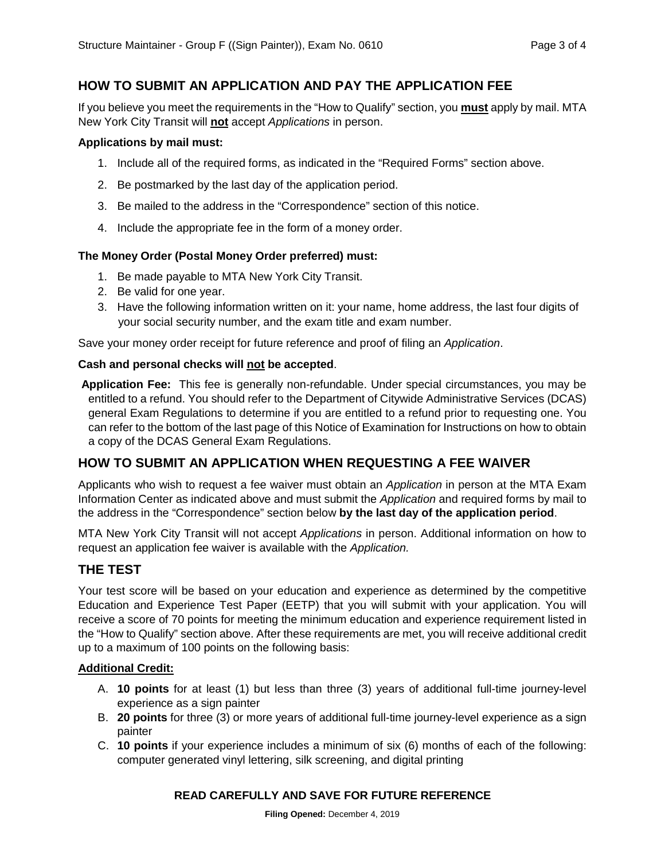# **HOW TO SUBMIT AN APPLICATION AND PAY THE APPLICATION FEE**

If you believe you meet the requirements in the "How to Qualify" section, you **must** apply by mail. MTA New York City Transit will **not** accept *Applications* in person.

#### **Applications by mail must:**

- 1. Include all of the required forms, as indicated in the "Required Forms" section above.
- 2. Be postmarked by the last day of the application period.
- 3. Be mailed to the address in the "Correspondence" section of this notice.
- 4. Include the appropriate fee in the form of a money order.

#### **The Money Order (Postal Money Order preferred) must:**

- 1. Be made payable to MTA New York City Transit.
- 2. Be valid for one year.
- 3. Have the following information written on it: your name, home address, the last four digits of your social security number, and the exam title and exam number.

Save your money order receipt for future reference and proof of filing an *Application*.

#### **Cash and personal checks will not be accepted**.

**Application Fee:** This fee is generally non-refundable. Under special circumstances, you may be entitled to a refund. You should refer to the Department of Citywide Administrative Services (DCAS) general Exam Regulations to determine if you are entitled to a refund prior to requesting one. You can refer to the bottom of the last page of this Notice of Examination for Instructions on how to obtain a copy of the DCAS General Exam Regulations.

## **HOW TO SUBMIT AN APPLICATION WHEN REQUESTING A FEE WAIVER**

Applicants who wish to request a fee waiver must obtain an *Application* in person at the MTA Exam Information Center as indicated above and must submit the *Application* and required forms by mail to the address in the "Correspondence" section below **by the last day of the application period**.

MTA New York City Transit will not accept *Applications* in person. Additional information on how to request an application fee waiver is available with the *Application.*

## **THE TEST**

Your test score will be based on your education and experience as determined by the competitive Education and Experience Test Paper (EETP) that you will submit with your application. You will receive a score of 70 points for meeting the minimum education and experience requirement listed in the "How to Qualify" section above. After these requirements are met, you will receive additional credit up to a maximum of 100 points on the following basis:

#### **Additional Credit:**

- A. **10 points** for at least (1) but less than three (3) years of additional full-time journey-level experience as a sign painter
- B. **20 points** for three (3) or more years of additional full-time journey-level experience as a sign painter
- C. **10 points** if your experience includes a minimum of six (6) months of each of the following: computer generated vinyl lettering, silk screening, and digital printing

#### **READ CAREFULLY AND SAVE FOR FUTURE REFERENCE**